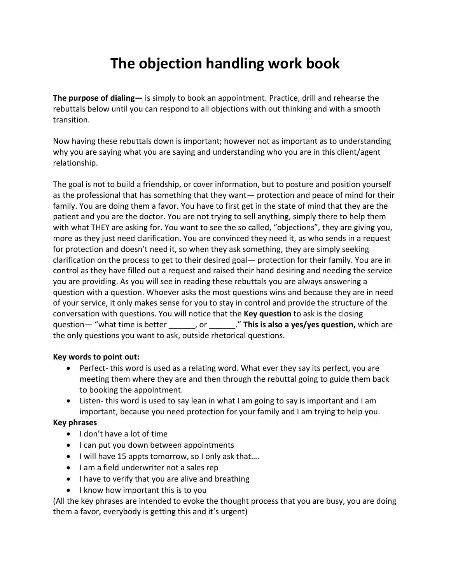# **The objection handling work book**

**The purpose of dialing—** is simply to book an appointment. Practice, drill and rehearse the rebuttals below until you can respond to all objections with out thinking and with a smooth transition.

Now having these rebuttals down is important; however not as important as to understanding why you are saying what you are saying and understanding who you are in this client/agent relationship.

The goal is not to build a friendship, or cover information, but to posture and position yourself as the professional that has something that they want— protection and peace of mind for their family. You are doing them a favor. You have to first get in the state of mind that they are the patient and you are the doctor. You are not trying to sell anything, simply there to help them with what THEY are asking for. You want to see the so called, "objections", they are giving you, more as they just need clarification. You are convinced they need it, as who sends in a request for protection and doesn't need it, so when they ask something, they are simply seeking clarification on the process to get to their desired goal— protection for their family. You are in control as they have filled out a request and raised their hand desiring and needing the service you are providing. As you will see in reading these rebuttals you are always answering a question with a question. Whoever asks the most questions wins and because they are in need of your service, it only makes sense for you to stay in control and provide the structure of the conversation with questions. You will notice that the **Key question** to ask is the closing question— "what time is better  $\qquad$ , or  $\qquad$ ." **This is also a yes/yes question,** which are the only questions you want to ask, outside rhetorical questions.

## **Key words to point out:**

- Perfect- this word is used as a relating word. What ever they say its perfect, you are meeting them where they are and then through the rebuttal going to guide them back to booking the appointment.
- Listen- this word is used to say lean in what I am going to say is important and I am important, because you need protection for your family and I am trying to help you.

## **Key phrases**

- I don't have a lot of time
- I can put you down between appointments
- I will have 15 appts tomorrow, so I only ask that….
- I am a field underwriter not a sales rep
- I have to verify that you are alive and breathing
- I know how important this is to you

(All the key phrases are intended to evoke the thought process that you are busy, you are doing them a favor, everybody is getting this and it's urgent)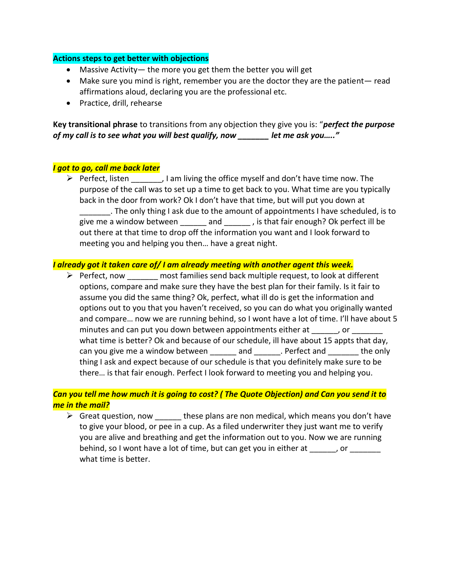#### **Actions steps to get better with objections**

- Massive Activity— the more you get them the better you will get
- Make sure you mind is right, remember you are the doctor they are the patient— read affirmations aloud, declaring you are the professional etc.
- Practice, drill, rehearse

**Key transitional phrase** to transitions from any objection they give you is: "*perfect the purpose of my call is to see what you will best qualify, now \_\_\_\_\_\_\_ let me ask you….."*

## *I got to go, call me back later*

 $\triangleright$  Perfect, listen , I am living the office myself and don't have time now. The purpose of the call was to set up a time to get back to you. What time are you typically back in the door from work? Ok I don't have that time, but will put you down at \_\_\_\_\_\_\_. The only thing I ask due to the amount of appointments I have scheduled, is to give me a window between and fit is that fair enough? Ok perfect ill be out there at that time to drop off the information you want and I look forward to meeting you and helping you then… have a great night.

#### *I already got it taken care of/ I am already meeting with another agent this week.*

 $\triangleright$  Perfect, now most families send back multiple request, to look at different options, compare and make sure they have the best plan for their family. Is it fair to assume you did the same thing? Ok, perfect, what ill do is get the information and options out to you that you haven't received, so you can do what you originally wanted and compare… now we are running behind, so I wont have a lot of time. I'll have about 5 minutes and can put you down between appointments either at \_\_\_\_\_, or \_\_\_\_\_\_\_ what time is better? Ok and because of our schedule, ill have about 15 appts that day, can you give me a window between and earliest perfect and the only thing I ask and expect because of our schedule is that you definitely make sure to be there… is that fair enough. Perfect I look forward to meeting you and helping you.

# *Can you tell me how much it is going to cost? ( The Quote Objection) and Can you send it to me in the mail?*

 $\triangleright$  Great question, now these plans are non medical, which means you don't have to give your blood, or pee in a cup. As a filed underwriter they just want me to verify you are alive and breathing and get the information out to you. Now we are running behind, so I wont have a lot of time, but can get you in either at paysing or what time is better.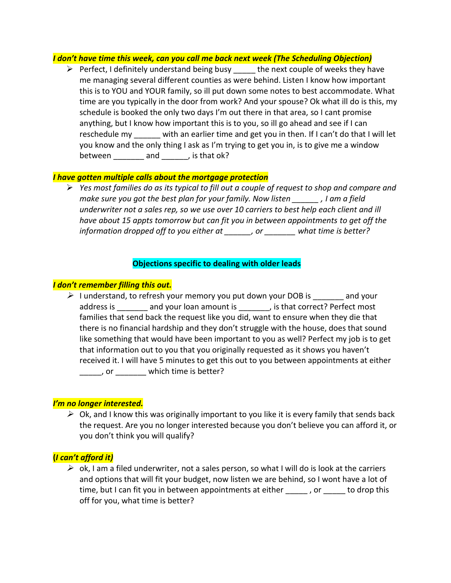#### *I don't have time this week, can you call me back next week (The Scheduling Objection)*

 $\triangleright$  Perfect, I definitely understand being busy the next couple of weeks they have me managing several different counties as were behind. Listen I know how important this is to YOU and YOUR family, so ill put down some notes to best accommodate. What time are you typically in the door from work? And your spouse? Ok what ill do is this, my schedule is booked the only two days I'm out there in that area, so I cant promise anything, but I know how important this is to you, so ill go ahead and see if I can reschedule my with an earlier time and get you in then. If I can't do that I will let you know and the only thing I ask as I'm trying to get you in, is to give me a window between  $\frac{1}{\sqrt{1-\frac{1}{2}}}\$  and  $\frac{1}{\sqrt{1-\frac{1}{2}}}\$  is that ok?

## *I have gotten multiple calls about the mortgage protection*

➢ *Yes most families do as its typical to fill out a couple of request to shop and compare and make sure you got the best plan for your family. Now listen \_\_\_\_\_\_ , I am a field underwriter not a sales rep, so we use over 10 carriers to best help each client and ill have about 15 appts tomorrow but can fit you in between appointments to get off the information dropped off to you either at \_\_\_\_\_\_, or \_\_\_\_\_\_\_ what time is better?* 

## **Objections specific to dealing with older leads**

#### *I don't remember filling this out.*

 $\triangleright$  I understand, to refresh your memory you put down your DOB is and your address is \_\_\_\_\_\_\_ and your loan amount is \_\_\_\_\_\_\_, is that correct? Perfect most families that send back the request like you did, want to ensure when they die that there is no financial hardship and they don't struggle with the house, does that sound like something that would have been important to you as well? Perfect my job is to get that information out to you that you originally requested as it shows you haven't received it. I will have 5 minutes to get this out to you between appointments at either \_\_\_\_\_, or \_\_\_\_\_\_\_ which time is better?

#### *I'm no longer interested.*

 $\triangleright$  Ok, and I know this was originally important to you like it is every family that sends back the request. Are you no longer interested because you don't believe you can afford it, or you don't think you will qualify?

## **(***I can't afford it)*

 $\triangleright$  ok, I am a filed underwriter, not a sales person, so what I will do is look at the carriers and options that will fit your budget, now listen we are behind, so I wont have a lot of time, but I can fit you in between appointments at either \_\_\_\_\_\_, or \_\_\_\_\_ to drop this off for you, what time is better?